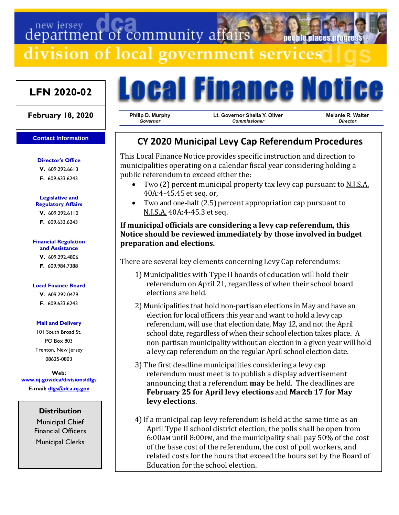department of community affairs

division of local government services

# **LFN 2020-02**

### **February 18, 2020**

#### **Contact Information**

# **Director's Office**

**V.** 609.292.6613 **F.** 609.633.6243

#### **Legislative and Regulatory Affairs**

**V.** 609.292.6110 **F.** 609.633.6243

### **Financial Regulation**

**and Assistance**

**V.** 609.292.4806 **F.** 609.984.7388

### **Local Finance Board**

**V.** 609.292.0479 **F.** 609.633.6243

### **Mail and Delivery**

101 South Broad St. PO Box 803 Trenton, New Jersey 08625-0803

**Web: [www.nj.gov/dca/divisions/dlgs](http://www.nj.gov/dca/divisions/dlgs) E-mail: [dlgs@dca.nj.gov](mailto:dlgs@dca.nj.gov)**

# **Distribution**

Municipal Chief Financial Officers Municipal Clerks



Philip D. Murphy Governor

Lt. Governor Sheila Y. Oliver Commissioner

Melanie R. Walter **Director** 

**Deonie Diaces urot** 

# **CY 2020 Municipal Levy Cap Referendum Procedures**

This Local Finance Notice provides specific instruction and direction to municipalities operating on a calendar fiscal year considering holding a public referendum to exceed either the:

- Two (2) percent municipal property tax levy cap pursuant to <u>N.J.S.A.</u> 40A:4-45.45 et seq. or,
- Two and one-half (2.5) percent appropriation cap pursuant to N.J.S.A. 40A:4-45.3 et seq.

# **If municipal officials are considering a levy cap referendum, this Notice should be reviewed immediately by those involved in budget preparation and elections.**

There are several key elements concerning Levy Cap referendums:

- 1) Municipalities with Type II boards of education will hold their referendum on April 21, regardless of when their school board elections are held.
- 2) Municipalities that hold non-partisan elections in May and have an election for local officers this year and want to hold a levy cap referendum, will use that election date, May 12, and not the April school date, regardless of when their school election takes place. A non-partisan municipality without an election in a given year will hold a levy cap referendum on the regular April school election date.
- 3) The first deadline municipalities considering a levy cap referendum must meet is to publish a display advertisement announcing that a referendum **may** be held. The deadlines are **February 25 for April levy elections** and **March 17 for May levy elections**.
- 4)If a municipal cap levy referendum is held at the same time as an April Type II school district election, the polls shall be open from 6:00AM until 8:00PM, and the municipality shall pay 50% of the cost of the base cost of the referendum, the cost of poll workers, and related costs for the hours that exceed the hours set by the Board of Education for the school election.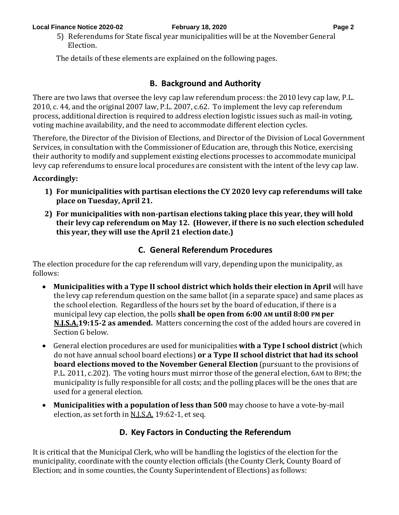5) Referendums for State fiscal year municipalities will be at the November General Election.

The details of these elements are explained on the following pages.

# **B. Background and Authority**

There are two laws that oversee the levy cap law referendum process: the 2010 levy cap law, P.L. 2010, c. 44, and the original 2007 law, P.L. 2007, c.62. To implement the levy cap referendum process, additional direction is required to address election logistic issues such as mail-in voting, voting machine availability, and the need to accommodate different election cycles.

Therefore, the Director of the Division of Elections, and Director of the Division of Local Government Services, in consultation with the Commissioner of Education are, through this Notice, exercising their authority to modify and supplement existing elections processes to accommodate municipal levy cap referendums to ensure local procedures are consistent with the intent of the levy cap law.

# **Accordingly:**

- **1) For municipalities with partisan elections the CY 2020 levy cap referendums will take place on Tuesday, April 21.**
- **2) For municipalities with non-partisan elections taking place this year, they will hold their levy cap referendum on May 12. (However, if there is no such election scheduled this year, they will use the April 21 election date.)**

# **C. General Referendum Procedures**

The election procedure for the cap referendum will vary, depending upon the municipality, as follows:

- **Municipalities with a Type II school district which holds their election in April** will have the levy cap referendum question on the same ballot (in a separate space) and same places as the school election. Regardless of the hours set by the board of education, if there is a municipal levy cap election, the polls **shall be open from 6:00 AM until 8:00 PM per N.J.S.A.19:15-2 as amended.** Matters concerning the cost of the added hours are covered in Section G below.
- General election procedures are used for municipalities **with a Type I school district** (which do not have annual school board elections) **or a Type II school district that had its school board elections moved to the November General Election** (pursuant to the provisions of P.L. 2011, c.202). The voting hours must mirror those of the general election, 6AM to 8PM; the municipality is fully responsible for all costs; and the polling places will be the ones that are used for a general election.
- **Municipalities with a population of less than 500** may choose to have a vote-by-mail election, as set forth in <u>N.J.S.A.</u> 19:62-1, et seq.

# **D. Key Factors in Conducting the Referendum**

It is critical that the Municipal Clerk, who will be handling the logistics of the election for the municipality, coordinate with the county election officials (the County Clerk, County Board of Election; and in some counties, the County Superintendent of Elections) as follows: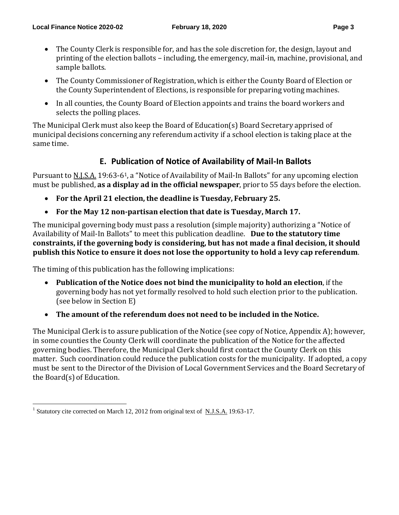- The County Clerk is responsible for, and has the sole discretion for, the design, layout and printing of the election ballots – including, the emergency, mail-in, machine, provisional, and sample ballots.
- The County Commissioner of Registration, which is either the County Board of Election or the County Superintendent of Elections, is responsible for preparing voting machines.
- In all counties, the County Board of Election appoints and trains the board workers and selects the polling places.

The Municipal Clerk must also keep the Board of Education(s) Board Secretary apprised of municipal decisions concerning any referendum activity if a school election is taking place at the same time.

# **E. Publication of Notice of Availability of Mail-In Ballots**

Pursuant to N.J.S.A. 19:63-61, a "Notice of Availability of Mail-In Ballots" for any upcoming election must be published, **as a display ad in the official newspaper**, prior to 55 days before the election.

- **For the April 21 election,the deadline is Tuesday, February 25.**
- **For the May 12 non-partisan election that date is Tuesday, March 17.**

The municipal governing body must pass a resolution (simple majority) authorizing a "Notice of Availability of Mail-In Ballots" to meet this publication deadline. **Due to the statutory time constraints, if the governing body is considering, but has not made a final decision, it should publish this Notice to ensure it does not lose the opportunity to hold a levy cap referendum**.

The timing of this publication has the following implications:

- **Publication of the Notice does not bind the municipality to hold an election**, if the governing body has not yet formally resolved to hold such election prior to the publication. (see below in Section E)
- **The amount of the referendum does not need to be included in the Notice.**

The Municipal Clerk is to assure publication of the Notice (see copy of Notice, Appendix A); however, in some counties the County Clerk will coordinate the publication of the Notice for the affected governing bodies. Therefore, the Municipal Clerk should first contact the County Clerk on this matter. Such coordination could reduce the publication costs for the municipality. If adopted, a copy must be sent to the Director of the Division of Local Government Services and the Board Secretary of the Board(s) of Education.

<sup>1</sup> Statutory cite corrected on March 12, 2012 from original text of N.J.S.A. 19:63-17.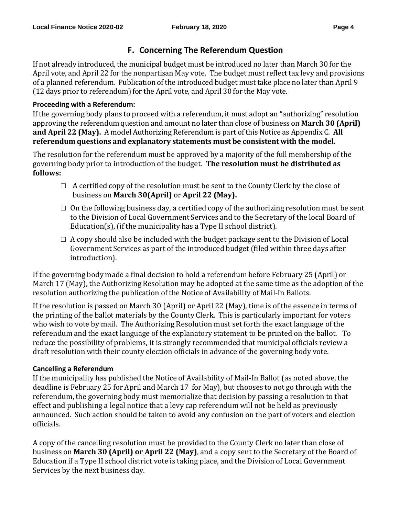# **F. Concerning The Referendum Question**

If not already introduced, the municipal budget must be introduced no later than March 30 for the April vote, and April 22 for the nonpartisan May vote. The budget must reflect tax levy and provisions of a planned referendum. Publication of the introduced budget must take place no later than April 9 (12 days prior to referendum) for the April vote, and April 30 for the May vote.

# **Proceeding with a Referendum:**

If the governing body plans to proceed with a referendum, it must adopt an "authorizing" resolution approving the referendum question and amount no later than close of business on **March 30 (April) and April 22 (May).** A model Authorizing Referendum is part of this Notice as Appendix C. **All referendum questions and explanatory statements must be consistent with the model.**

The resolution for the referendum must be approved by a majority of the full membership of the governing body prior to introduction of the budget. **The resolution must be distributed as follows:**

- $\Box$  A certified copy of the resolution must be sent to the County Clerk by the close of business on **March 30(April)** or **April 22 (May).**
- $\Box$  On the following business day, a certified copy of the authorizing resolution must be sent to the Division of Local Government Services and to the Secretary of the local Board of Education(s), (if the municipality has a Type II school district).
- $\Box$  A copy should also be included with the budget package sent to the Division of Local Government Services as part of the introduced budget (filed within three days after introduction).

If the governing body made a final decision to hold a referendum before February 25 (April) or March 17 (May), the Authorizing Resolution may be adopted at the same time as the adoption of the resolution authorizing the publication of the Notice of Availability of Mail-In Ballots.

If the resolution is passed on March 30 (April) or April 22 (May), time is of the essence in terms of the printing of the ballot materials by the County Clerk. This is particularly important for voters who wish to vote by mail. The Authorizing Resolution must set forth the exact language of the referendum and the exact language of the explanatory statement to be printed on the ballot. To reduce the possibility of problems, it is strongly recommended that municipal officials review a draft resolution with their county election officials in advance of the governing body vote.

# **Cancelling a Referendum**

If the municipality has published the Notice of Availability of Mail-In Ballot (as noted above, the deadline is February 25 for April and March 17 for May), but chooses to not go through with the referendum, the governing body must memorialize that decision by passing a resolution to that effect and publishing a legal notice that a levy cap referendum will not be held as previously announced. Such action should be taken to avoid any confusion on the part of voters and election officials.

A copy of the cancelling resolution must be provided to the County Clerk no later than close of business on **March 30 (April) or April 22 (May)**, and a copy sent to the Secretary of the Board of Education if a Type II school district vote is taking place, and the Division of Local Government Services by the next business day.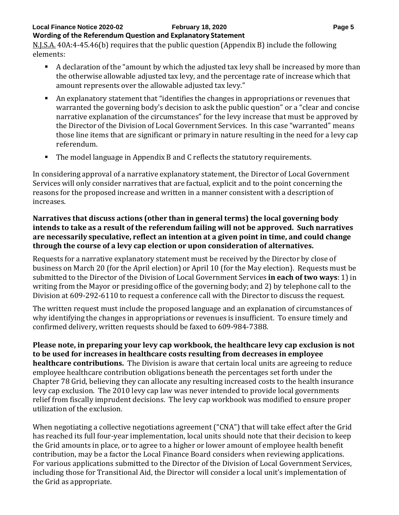### **Local Finance Notice 2020-02 February 18, 2020 Page 5 Wording of the Referendum Question and Explanatory Statement**

N.J.S.A. 40A:4-45.46(b) requires that the public question (Appendix B) include the following elements:

- A declaration of the "amount by which the adjusted tax levy shall be increased by more than the otherwise allowable adjusted tax levy, and the percentage rate of increase which that amount represents over the allowable adjusted tax levy."
- An explanatory statement that "identifies the changes in appropriations or revenues that warranted the governing body's decision to ask the public question" or a "clear and concise narrative explanation of the circumstances" for the levy increase that must be approved by the Director of the Division of Local Government Services. In this case "warranted" means those line items that are significant or primary in nature resulting in the need for a levy cap referendum.
- The model language in Appendix B and C reflects the statutory requirements.

In considering approval of a narrative explanatory statement, the Director of Local Government Services will only consider narratives that are factual, explicit and to the point concerning the reasons for the proposed increase and written in a manner consistent with a description of increases.

# **Narratives that discuss actions (other than in general terms) the local governing body intends to take as a result of the referendum failing will not be approved. Such narratives are necessarily speculative, reflect an intention at a given point in time, and could change through the course of a levy cap election or upon consideration of alternatives.**

Requests for a narrative explanatory statement must be received by the Director by close of business on March 20 (for the April election) or April 10 (for the May election). Requests must be submitted to the Director of the Division of Local GovernmentServices **in each of two ways**: 1) in writing from the Mayor or presiding office of the governing body; and 2) by telephone call to the Division at 609-292-6110 to request a conference call with the Director to discuss the request.

The written request must include the proposed language and an explanation of circumstances of why identifying the changes in appropriations or revenues is insufficient. To ensure timely and confirmed delivery, written requests should be faxed to 609-984-7388.

**Please note, in preparing your levy cap workbook, the healthcare levy cap exclusion is not to be used for increases in healthcare costs resulting from decreases in employee healthcare contributions.** The Division is aware that certain local units are agreeing to reduce employee healthcare contribution obligations beneath the percentages set forth under the Chapter 78 Grid, believing they can allocate any resulting increased costs to the health insurance levy cap exclusion. The 2010 levy cap law was never intended to provide local governments relief from fiscally imprudent decisions. The levy cap workbook was modified to ensure proper utilization of the exclusion.

When negotiating a collective negotiations agreement ("CNA") that will take effect after the Grid has reached its full four-year implementation, local units should note that their decision to keep the Grid amounts in place, or to agree to a higher or lower amount of employee health benefit contribution, may be a factor the Local Finance Board considers when reviewing applications. For various applications submitted to the Director of the Division of Local Government Services, including those for Transitional Aid, the Director will consider a local unit's implementation of the Grid as appropriate.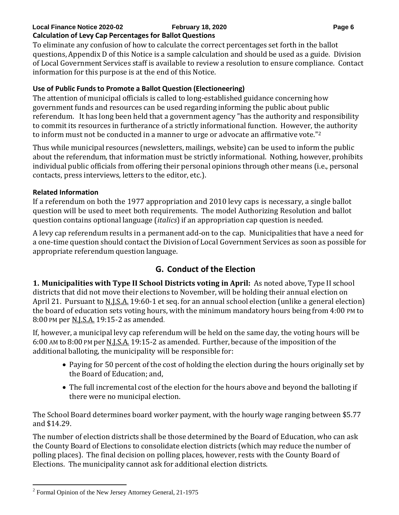### **Local Finance Notice 2020-02 February 18, 2020 Page 6 Calculation of Levy Cap Percentages for Ballot Questions**

To eliminate any confusion of how to calculate the correct percentages set forth in the ballot questions, Appendix D of this Notice is a sample calculation and should be used as a guide. Division of Local Government Services staff is available to review a resolution to ensure compliance. Contact information for this purpose is at the end of this Notice.

# **Use of Public Fundsto Promote a Ballot Question (Electioneering)**

The attention of municipal officials is called to long-established guidance concerning how government funds and resources can be used regarding informing the public about public referendum. It has long been held that a government agency "has the authority and responsibility to commit its resources in furtherance of a strictly informational function. However, the authority to inform must not be conducted in a manner to urge or advocate an affirmative vote."<sup>2</sup>

Thus while municipal resources (newsletters, mailings, website) can be used to inform the public about the referendum, that information must be strictly informational. Nothing, however, prohibits individual public officials from offering their personal opinions through other means (i.e., personal contacts, press interviews, letters to the editor, etc.).

# **Related Information**

If a referendum on both the 1977 appropriation and 2010 levy caps is necessary, a single ballot question will be used to meet both requirements. The model Authorizing Resolution and ballot question contains optional language (*italics*) if an appropriation cap question is needed.

A levy cap referendum results in a permanent add-on to the cap. Municipalities that have a need for a one-time question should contact the Division of Local Government Services as soon as possible for appropriate referendum question language.

# **G. Conduct of the Election**

**1. Municipalities with Type II School Districts voting in April:** As noted above, Type II school districts that did not move their elections to November, will be holding their annual election on April 21. Pursuant to N.J.S.A. 19:60-1 et seq. for an annual school election (unlike a general election) the board of education sets voting hours, with the minimum mandatory hours being from 4:00 PM to 8:00 PM per N.J.S.A. 19:15-2 as amended.

If, however, a municipal levy cap referendum will be held on the same day, the voting hours will be 6:00 AM to 8:00 PM per N.J.S.A. 19:15-2 as amended. Further, because of the imposition of the additional balloting, the municipality will be responsible for:

- Paying for 50 percent of the cost of holding the election during the hours originally set by the Board of Education; and,
- The full incremental cost of the election for the hours above and beyond the balloting if there were no municipal election.

The School Board determines board worker payment, with the hourly wage ranging between \$5.77 and \$14.29.

The number of election districts shall be those determined by the Board of Education, who can ask the County Board of Elections to consolidate election districts (which may reduce the number of polling places). The final decision on polling places, however, rests with the County Board of Elections. The municipality cannot ask for additional election districts.

<sup>&</sup>lt;sup>2</sup> Formal Opinion of the New Jersey Attorney General, 21-1975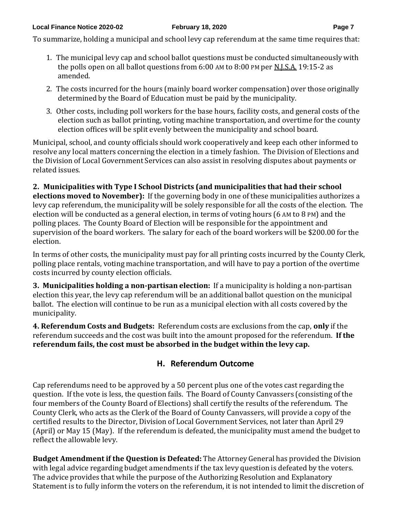To summarize, holding a municipal and school levy cap referendum at the same time requires that:

- 1. The municipal levy cap and school ballot questions must be conducted simultaneously with the polls open on all ballot questions from 6:00 AM to 8:00 PM per N.J.S.A. 19:15-2 as amended.
- 2. The costs incurred for the hours (mainly board worker compensation) over those originally determined by the Board of Education must be paid by the municipality.
- 3. Other costs, including poll workers for the base hours, facility costs, and general costs of the election such as ballot printing, voting machine transportation, and overtime for the county election offices will be split evenly between the municipality and school board.

Municipal, school, and county officials should work cooperatively and keep each other informed to resolve any local matters concerning the election in a timely fashion. The Division of Elections and the Division of Local Government Services can also assist in resolving disputes about payments or related issues.

**2. Municipalities with Type I School Districts (and municipalities that had their school elections moved to November):** If the governing body in one of these municipalities authorizes a levy cap referendum, the municipality will be solely responsible for all the costs of the election. The election will be conducted as a general election, in terms of voting hours (6 AM to 8 PM) and the polling places. The County Board of Election will be responsible for the appointment and supervision of the board workers. The salary for each of the board workers will be \$200.00 for the election.

In terms of other costs, the municipality must pay for all printing costs incurred by the County Clerk, polling place rentals, voting machine transportation, and will have to pay a portion of the overtime costs incurred by county election officials.

**3. Municipalities holding a non-partisan election:** If a municipality is holding a non-partisan election this year, the levy cap referendum will be an additional ballot question on the municipal ballot. The election will continue to be run as a municipal election with all costs covered by the municipality.

**4. Referendum Costs and Budgets:** Referendum costs are exclusions from the cap, **only** if the referendum succeeds and the cost was built into the amount proposed for the referendum. **If the referendum fails, the cost must be absorbed in the budget within the levy cap.**

# **H. Referendum Outcome**

Cap referendums need to be approved by a 50 percent plus one of the votes cast regarding the question. If the vote is less, the question fails. The Board of County Canvassers (consisting of the four members of the County Board of Elections) shall certify the results of the referendum. The County Clerk, who acts as the Clerk of the Board of County Canvassers, will provide a copy of the certified results to the Director, Division of Local Government Services, not later than April 29 (April) or May 15 (May). If the referendum is defeated, the municipality must amend the budget to reflect the allowable levy.

**Budget Amendment if the Question is Defeated:** The Attorney General has provided the Division with legal advice regarding budget amendments if the tax levy question is defeated by the voters. The advice provides that while the purpose of the Authorizing Resolution and Explanatory Statement is to fully inform the voters on the referendum, it is not intended to limit the discretion of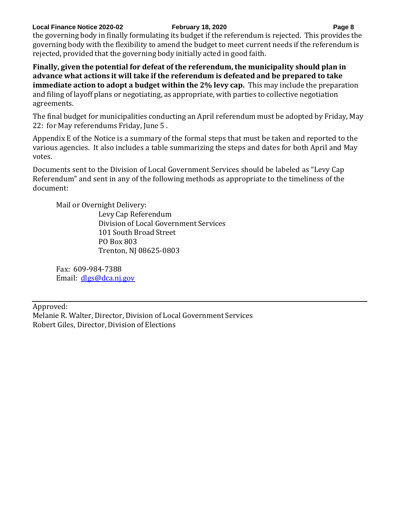### **Local Finance Notice 2020-02 February 18, 2020 Page 8**

the governing body in finally formulating its budget if the referendum is rejected. This provides the governing body with the flexibility to amend the budget to meet current needs if the referendum is rejected, provided that the governing body initially acted in good faith.

**Finally, given the potential for defeat of the referendum, the municipality should plan in advance what actions it will take if the referendum is defeated and be prepared to take immediate action to adopt a budget within the 2% levy cap.** This may include the preparation and filing of layoff plans or negotiating, as appropriate, with parties to collective negotiation agreements.

The final budget for municipalities conducting an April referendum must be adopted by Friday, May 22: for May referendums Friday, June 5 .

Appendix E of the Notice is a summary of the formal steps that must be taken and reported to the various agencies. It also includes a table summarizing the steps and dates for both April and May votes.

Documents sent to the Division of Local Government Services should be labeled as "Levy Cap Referendum" and sent in any of the following methods as appropriate to the timeliness of the document:

Mail or Overnight Delivery:

Levy Cap Referendum Division of Local Government Services 101 South Broad Street PO Box 803 Trenton, NJ 08625-0803

Fax: 609-984-7388 Email: [dlgs@dca.nj.gov](mailto:dlgs@dca.nj.gov)

Approved:

Melanie R. Walter, Director, Division of Local Government Services Robert Giles, Director, Division of Elections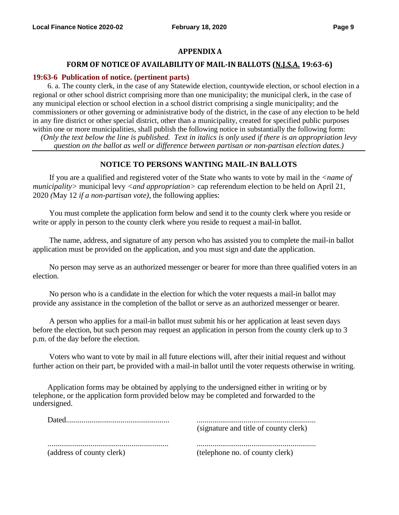### **APPENDIX A**

### **FORM OF NOTICE OF AVAILABILITYOF MAIL-IN BALLOTS (N.J.S.A. 19:63-6)**

### **19:63-6 Publication of notice. (pertinent parts)**

6. a. The county clerk, in the case of any Statewide election, countywide election, or school election in a regional or other school district comprising more than one municipality; the municipal clerk, in the case of any municipal election or school election in a school district comprising a single municipality; and the commissioners or other governing or administrative body of the district, in the case of any election to be held in any fire district or other special district, other than a municipality, created for specified public purposes within one or more municipalities, shall publish the following notice in substantially the following form: *(Only the text below the line is published. Text in italics is only used if there is an appropriation levy* 

*question on the ballot as well or difference between partisan or non-partisan election dates.)*

### **NOTICE TO PERSONS WANTING MAIL-IN BALLOTS**

If you are a qualified and registered voter of the State who wants to vote by mail in the *<name of municipality>* municipal levy *<and appropriation>* cap referendum election to be held on April 21, 2020 *(*May 12 *if a non-partisan vote),* the following applies:

You must complete the application form below and send it to the county clerk where you reside or write or apply in person to the county clerk where you reside to request a mail-in ballot.

The name, address, and signature of any person who has assisted you to complete the mail-in ballot application must be provided on the application, and you must sign and date the application.

No person may serve as an authorized messenger or bearer for more than three qualified voters in an election.

No person who is a candidate in the election for which the voter requests a mail-in ballot may provide any assistance in the completion of the ballot or serve as an authorized messenger or bearer.

A person who applies for a mail-in ballot must submit his or her application at least seven days before the election, but such person may request an application in person from the county clerk up to 3 p.m. of the day before the election.

Voters who want to vote by mail in all future elections will, after their initial request and without further action on their part, be provided with a mail-in ballot until the voter requests otherwise in writing.

Application forms may be obtained by applying to the undersigned either in writing or by telephone, or the application form provided below may be completed and forwarded to the undersigned.

| Dated.                    | (signature and title of county clerk) |
|---------------------------|---------------------------------------|
| (address of county clerk) | (telephone no. of county clerk)       |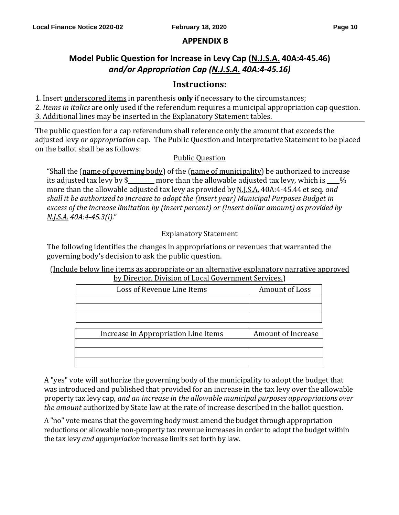# **APPENDIX B**

# **Model Public Question for Increase in Levy Cap (N.J.S.A. 40A:4-45.46)** *and/or Appropriation Cap (N.J.S.A. 40A:4-45.16)*

# **Instructions:**

1. Insert underscored items in parenthesis **only** if necessary to the circumstances;

2. *Items in italics* are only used if the referendum requires a municipal appropriation cap question.

3. Additional lines may be inserted in the Explanatory Statement tables.

The public question for a cap referendum shall reference only the amount that exceeds the adjusted levy *or appropriation* cap. The Public Question and Interpretative Statement to be placed on the ballot shall be as follows:

# Public Question

"Shall the (name of governing body) of the (name of municipality) be authorized to increase its adjusted tax levy by  $\frac{1}{2}$  more than the allowable adjusted tax levy, which is  $\frac{1}{2}$ % more than the allowable adjusted tax levy as provided by N.J.S.A. 40A:4-45.44 et seq. *and shall it be authorized to increase to adopt the (insert year) Municipal Purposes Budget in excess of the increase limitation by (insert percent) or (insert dollar amount) as provided by N.J.S.A. 40A:4-45.3(i).*"

# Explanatory Statement

The following identifies the changes in appropriations or revenues that warranted the governing body's decision to ask the public question.

(Include below line items as appropriate or an alternative explanatory narrative approved by Director, Division of Local Government Services.)

| Loss of Revenue Line Items           | Amount of Loss     |
|--------------------------------------|--------------------|
|                                      |                    |
|                                      |                    |
|                                      |                    |
|                                      |                    |
| Increase in Appropriation Line Items | Amount of Increase |
|                                      |                    |
|                                      |                    |
|                                      |                    |

A "yes" vote will authorize the governing body of the municipality to adopt the budget that was introduced and published that provided for an increase in the tax levy over the allowable property tax levy cap, *and an increase in the allowable municipal purposes appropriations over the amount* authorized by State law at the rate of increase described in the ballot question.

A "no" vote means that the governing body must amend the budget through appropriation reductions or allowable non-property tax revenue increases in order to adopt the budget within the tax levy *and appropriation* increase limits set forth by law.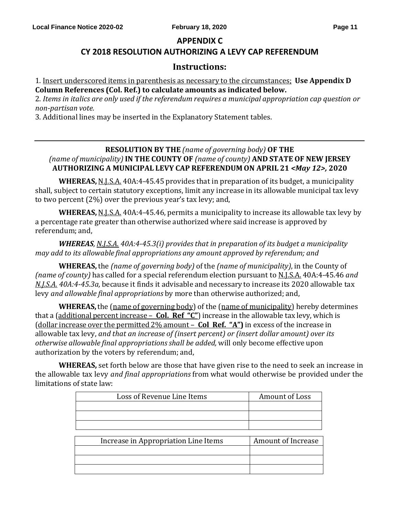### **APPENDIX C**

# **CY 2018 RESOLUTION AUTHORIZING A LEVY CAP REFERENDUM**

### **Instructions:**

1. Insert underscored items in parenthesis as necessary to the circumstances; **Use Appendix D Column References (Col. Ref.) to calculate amounts as indicated below.**

2. *Items in italics are only used if the referendum requires a municipal appropriation cap question or non-partisan vote.*

3. Additional lines may be inserted in the Explanatory Statement tables.

### **RESOLUTION BY THE** *(name of governing body)* **OF THE** *(name of municipality)* **IN THE COUNTY OF** *(name of county)* **AND STATE OF NEW JERSEY AUTHORIZING A MUNICIPAL LEVY CAP REFERENDUM ON APRIL 21** *<May 12>,* **2020**

**WHEREAS,** N.J.S.A. 40A:4-45.45 provides that in preparation of its budget, a municipality shall, subject to certain statutory exceptions, limit any increase in its allowable municipal tax levy to two percent (2%) over the previous year's tax levy; and,

**WHEREAS,** N.J.S.A. 40A:4-45.46, permits a municipality to increase its allowable tax levy by a percentage rate greater than otherwise authorized where said increase is approved by referendum; and,

*WHEREAS, N.J.S.A. 40A:4-45.3(i) provides that in preparation of its budget a municipality may add to its allowable final appropriations any amount approved by referendum; and*

**WHEREAS,** the *(name of governing body)* of the *(name of municipality)*, in the County of *(name of county)* has called for a special referendum election pursuant to N.J.S.A. 40A:4-45.46 *and N.J.S.A. 40A:4-45.3a,* because it finds it advisable and necessary to increase its 2020 allowable tax levy *and allowable final appropriations* by more than otherwise authorized; and,

**WHEREAS,**the (name of governing body) of the (name of municipality) hereby determines that a (additional percent increase – **Col. Ref "C"**)increase in the allowable tax levy, which is (dollar increase over the permitted 2% amount – **Col Ref. "A")** in excess of the increase in allowable tax levy, *and that an increase of (insert percent) or (insert dollar amount) over its otherwise allowable final appropriationsshall be added,* will only become effective upon authorization by the voters by referendum; and,

**WHEREAS,** set forth below are those that have given rise to the need to seek an increase in the allowable tax levy *and final appropriations* from what would otherwise be provided under the limitations of state law:

| Loss of Revenue Line Items           | Amount of Loss     |
|--------------------------------------|--------------------|
|                                      |                    |
|                                      |                    |
|                                      |                    |
|                                      |                    |
| Increase in Appropriation Line Items | Amount of Increase |
|                                      |                    |
|                                      |                    |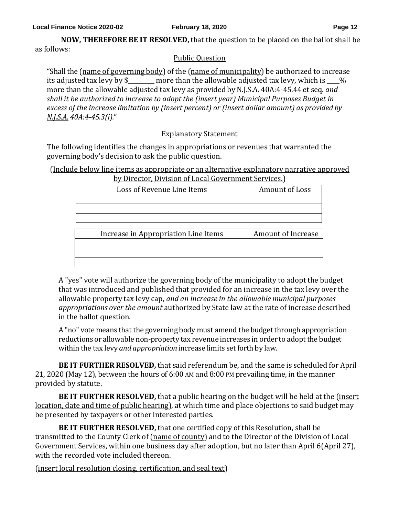**NOW, THEREFORE BE IT RESOLVED,** that the question to be placed on the ballot shall be as follows:

# Public Question

"Shall the (name of governing body) of the (name of municipality) be authorized to increase its adjusted tax levy by  $\frac{1}{2}$  more than the allowable adjusted tax levy, which is  $\frac{1}{2}$ more than the allowable adjusted tax levy as provided by N.J.S.A. 40A:4-45.44 et seq. *and shall it be authorized to increase to adopt the (insert year) Municipal Purposes Budget in excess of the increase limitation by (insert percent) or (insert dollar amount) as provided by N.J.S.A. 40A:4-45.3(i).*"

# Explanatory Statement

The following identifies the changes in appropriations or revenues that warranted the governing body's decision to ask the public question.

(Include below line items as appropriate or an alternative explanatory narrative approved by Director, Division of Local Government Services.)

| Loss of Revenue Line Items | Amount of Loss |
|----------------------------|----------------|
|                            |                |
|                            |                |
|                            |                |
|                            |                |

| Increase in Appropriation Line Items | Amount of Increase |  |
|--------------------------------------|--------------------|--|
|                                      |                    |  |
|                                      |                    |  |
|                                      |                    |  |

A "yes" vote will authorize the governing body of the municipality to adopt the budget that was introduced and published that provided for an increase in the tax levy over the allowable property tax levy cap, *and an increase in the allowable municipal purposes appropriations over the amount* authorized by State law at the rate of increase described in the ballot question.

A "no" vote means that the governing body must amend the budget through appropriation reductions or allowable non-property tax revenue increases in order to adopt the budget within the tax levy *and appropriation* increase limits set forth by law.

**BE IT FURTHER RESOLVED,** that said referendum be, and the same is scheduled for April 21, 2020 (May 12), between the hours of 6:00 AM and 8:00 PM prevailing time, in the manner provided by statute.

**BE IT FURTHER RESOLVED,** that a public hearing on the budget will be held at the (insert location, date and time of public hearing), at which time and place objections to said budget may be presented by taxpayers or other interested parties.

**BE IT FURTHER RESOLVED,** that one certified copy of this Resolution, shall be transmitted to the County Clerk of (name of county) and to the Director of the Division of Local Government Services, within one business day after adoption, but no later than April 6(April 27), with the recorded vote included thereon.

(insert local resolution closing, certification, and seal text)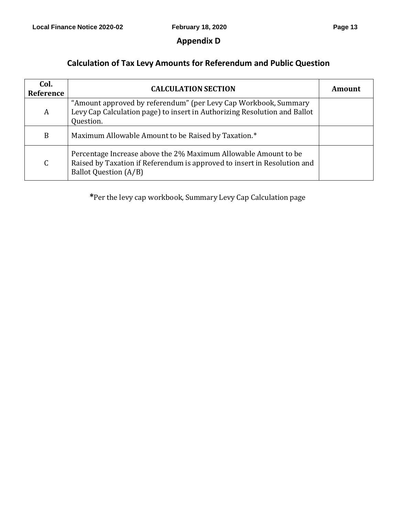# **Appendix D**

# **Calculation of Tax Levy Amounts for Referendum and Public Question**

| Col.<br>Reference | <b>CALCULATION SECTION</b>                                                                                                                                                  | Amount |
|-------------------|-----------------------------------------------------------------------------------------------------------------------------------------------------------------------------|--------|
| A                 | "Amount approved by referendum" (per Levy Cap Workbook, Summary<br>Levy Cap Calculation page) to insert in Authorizing Resolution and Ballot<br>Question.                   |        |
| B                 | Maximum Allowable Amount to be Raised by Taxation.*                                                                                                                         |        |
| $\mathsf C$       | Percentage Increase above the 2% Maximum Allowable Amount to be<br>Raised by Taxation if Referendum is approved to insert in Resolution and<br><b>Ballot Question (A/B)</b> |        |

**\***Per the levy cap workbook, Summary Levy Cap Calculation page